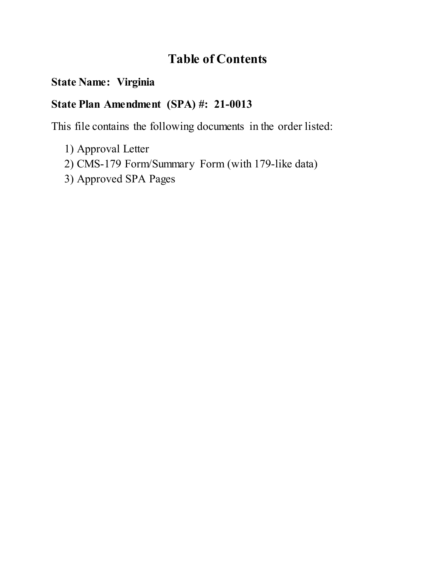# **Table of Contents**

## **State Name: Virginia**

## **State Plan Amendment (SPA) #: 21-0013**

This file contains the following documents in the order listed:

- 1) Approval Letter
- 2) CMS-179 Form/Summary Form (with 179-like data)
- 3) Approved SPA Pages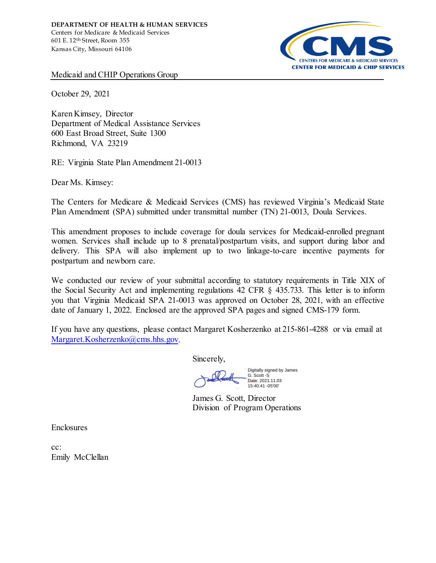

Medicaid and CHIP Operations Group

October 29, 2021

Karen Kimsey, Director Department of Medical Assistance Services 600 East Broad Street, Suite 1300 Richmond, VA 23219

RE: Virginia State Plan Amendment 21-0013

Dear Ms. Kimsey:

The Centers for Medicare & Medicaid Services (CMS) has reviewed Virginia's Medicaid State Plan Amendment (SPA) submitted under transmittal number (TN) 21-0013, Doula Services.

This amendment proposes to include coverage for doula services for Medicaid-enrolled pregnant women. Services shall include up to 8 prenatal/postpartum visits, and support during labor and delivery. This SPA will also implement up to two linkage-to-care incentive payments for postpartum and newborn care.

We conducted our review of your submittal according to statutory requirements in Title XIX of the Social Security Act and implementing regulations 42 CFR § 435.733. This letter is to inform you that Virginia Medicaid SPA 21-0013 was approved on October 28, 2021, with an effective date of January 1, 2022. Enclosed are the approved SPA pages and signed CMS-179 form.

If you have any questions, please contact Margaret Kosherzenko at 215-861-4288 or via email at [Margaret.Kosherzenko@cms.hhs.gov.](mailto:Margaret.Kosherzenko@cms.hhs.gov) 

Sincerely,

Digitally signed by James G. Scott -S 15:40:41 -05'00'

Date: 2021.11.03

James G. Scott, Director Division of Program Operations

**Enclosures** 

cc: Emily McClellan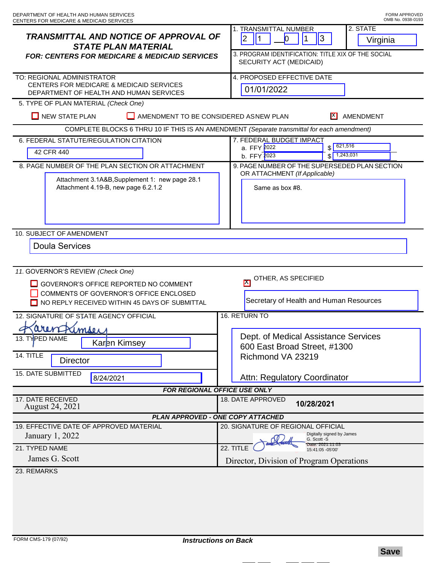| <b>TRANSMITTAL AND NOTICE OF APPROVAL OF</b><br><b>STATE PLAN MATERIAL</b><br><b>FOR: CENTERS FOR MEDICARE &amp; MEDICAID SERVICES</b>                                | 2. STATE<br>1. TRANSMITTAL NUMBER<br> 3 <br>$ 2\rangle$<br>$\vert$ 1<br>$\mathsf{D}$<br>1<br>Virginia<br>3. PROGRAM IDENTIFICATION: TITLE XIX OF THE SOCIAL<br>SECURITY ACT (MEDICAID) |
|-----------------------------------------------------------------------------------------------------------------------------------------------------------------------|----------------------------------------------------------------------------------------------------------------------------------------------------------------------------------------|
| TO: REGIONAL ADMINISTRATOR<br>CENTERS FOR MEDICARE & MEDICAID SERVICES<br>DEPARTMENT OF HEALTH AND HUMAN SERVICES                                                     | 4. PROPOSED EFFECTIVE DATE<br>01/01/2022                                                                                                                                               |
| 5. TYPE OF PLAN MATERIAL (Check One)                                                                                                                                  |                                                                                                                                                                                        |
| $\Box$ NEW STATE PLAN<br>AMENDMENT TO BE CONSIDERED ASNEW PLAN<br>H<br>AMENDMENT                                                                                      |                                                                                                                                                                                        |
| COMPLETE BLOCKS 6 THRU 10 IF THIS IS AN AMENDMENT (Separate transmittal for each amendment)                                                                           |                                                                                                                                                                                        |
| 6. FEDERAL STATUTE/REGULATION CITATION<br>42 CFR 440                                                                                                                  | 7. FEDERAL BUDGET IMPACT<br>621,516<br>a. FFY 2022<br>\$<br>b. FFY 2023<br>1,243,031<br>\$                                                                                             |
| 8. PAGE NUMBER OF THE PLAN SECTION OR ATTACHMENT                                                                                                                      | 9. PAGE NUMBER OF THE SUPERSEDED PLAN SECTION                                                                                                                                          |
| Attachment 3.1A&B, Supplement 1: new page 28.1<br>Attachment 4.19-B, new page 6.2.1.2                                                                                 | OR ATTACHMENT (If Applicable)<br>Same as box #8.                                                                                                                                       |
| 10. SUBJECT OF AMENDMENT                                                                                                                                              |                                                                                                                                                                                        |
| <b>Doula Services</b>                                                                                                                                                 |                                                                                                                                                                                        |
| 11. GOVERNOR'S REVIEW (Check One)<br>GOVERNOR'S OFFICE REPORTED NO COMMENT<br>COMMENTS OF GOVERNOR'S OFFICE ENCLOSED<br>NO REPLY RECEIVED WITHIN 45 DAYS OF SUBMITTAL | OTHER, AS SPECIFIED<br>$\mathsf{K}$<br>Secretary of Health and Human Resources                                                                                                         |
| 16. RETURN TO<br>12. SIGNATURE OF STATE AGENCY OFFICIAL                                                                                                               |                                                                                                                                                                                        |
| imser<br>13. TYPED NAME<br>Karen Kimsey<br>14. TITLE<br><b>Director</b><br><b>15. DATE SUBMITTED</b><br>8/24/2021                                                     | Dept. of Medical Assistance Services<br>600 East Broad Street, #1300<br>Richmond VA 23219<br>Attn: Regulatory Coordinator                                                              |
| FOR REGIONAL OFFICE USE ONLY                                                                                                                                          |                                                                                                                                                                                        |
| 17. DATE RECEIVED<br><b>August 24, 2021</b>                                                                                                                           | 18. DATE APPROVED<br>10/28/2021                                                                                                                                                        |
| <b>PLAN APPROVED - ONE COPY ATTACHED</b>                                                                                                                              |                                                                                                                                                                                        |
| 19. EFFECTIVE DATE OF APPROVED MATERIAL<br>January 1, 2022<br>21. TYPED NAME<br>James G. Scott                                                                        | 20. SIGNATURE OF REGIONAL OFFICIAL<br>Digitally signed by James<br>G. Scott -S<br>Date: 2021.11.03<br>22. TITLE<br>15:41:05 - 05'00'<br>Director, Division of Program Operations       |
| 23. REMARKS                                                                                                                                                           |                                                                                                                                                                                        |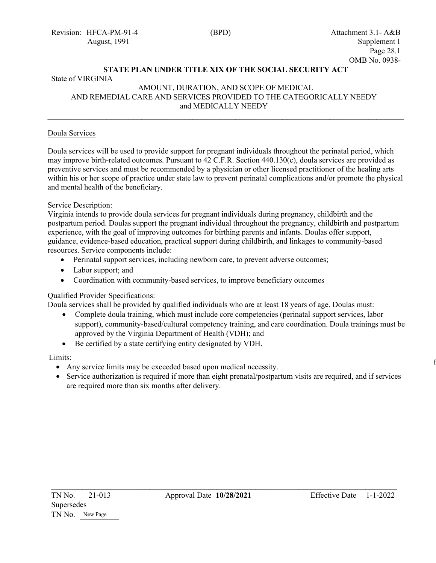### **STATE PLAN UNDER TITLE XIX OF THE SOCIAL SECURITY ACT**

### State of VIRGINIA

#### AMOUNT, DURATION, AND SCOPE OF MEDICAL AND REMEDIAL CARE AND SERVICES PROVIDED TO THE CATEGORICALLY NEEDY and MEDICALLY NEEDY  $\_$

#### Doula Services

Doula services will be used to provide support for pregnant individuals throughout the perinatal period, which may improve birth-related outcomes. Pursuant to 42 C.F.R. Section 440.130(c), doula services are provided as preventive services and must be recommended by a physician or other licensed practitioner of the healing arts within his or her scope of practice under state law to prevent perinatal complications and/or promote the physical and mental health of the beneficiary.

#### Service Description:

Virginia intends to provide doula services for pregnant individuals during pregnancy, childbirth and the postpartum period. Doulas support the pregnant individual throughout the pregnancy, childbirth and postpartum experience, with the goal of improving outcomes for birthing parents and infants. Doulas offer support, guidance, evidence-based education, practical support during childbirth, and linkages to community-based resources. Service components include:

- Perinatal support services, including newborn care, to prevent adverse outcomes;
- Labor support; and
- Coordination with community-based services, to improve beneficiary outcomes

#### Qualified Provider Specifications:

Doula services shall be provided by qualified individuals who are at least 18 years of age. Doulas must:

- Complete doula training, which must include core competencies (perinatal support services, labor support), community-based/cultural competency training, and care coordination. Doula trainings must be approved by the Virginia Department of Health (VDH); and
- Be certified by a state certifying entity designated by VDH.

#### Limits:

- Any service limits may be exceeded based upon medical necessity.
- Service authorization is required if more than eight prenatal/postpartum visits are required, and if services are required more than six months after delivery.

 $\mathcal{L}_\text{max}$  , and the contract of the contract of the contract of the contract of the contract of the contract of the contract of the contract of the contract of the contract of the contract of the contract of the contr

 $\mathbf f$